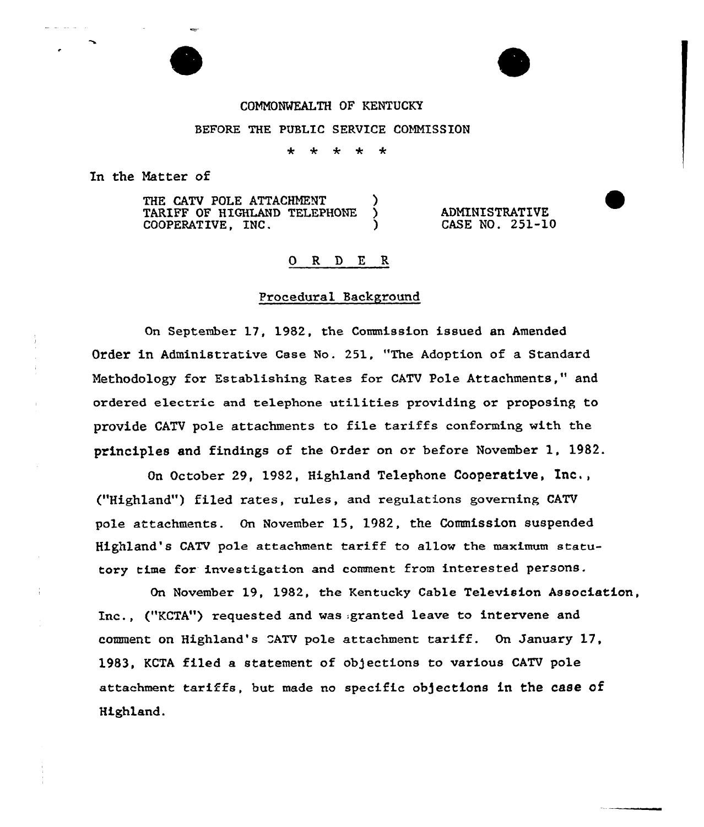# COHNONWEALTH OF KENTUCKY

#### BEFORE THE PUBLIC SERVICE COMMISSION

 $\star$  $\star$  $\star$  $\star$  $\ddot{\phantom{1}}$ 

In the Natter of

THE CATV POLE ATTACHMENT TARIFF OF HIGHLAND TELEPHONE COOPERATIVE, INC. )

**ADMINISTRATIVE** CASE NO. 251-10

#### 0 <sup>R</sup> 9 E <sup>R</sup>

## Procedural Background

On September 17, 1982, the Commission issued an Amended Order in Administrative Case No. 251, "The Adoption of a Standard Methodology for Establishing Rates for CATV Pole Attachments," and ordered electric and telephone utilities providing or proposing to provide CATV pole attachments to file tariffs conforming with the principles and findings of the Order on or before November 1, 1982.

On October 29, 1982, Highland Telephone Cooperative, Inc., ("Highland") filed rates, rules, and regulations governing CATV pole attachments. On November 15, 1982, the Commission suspended Highland's CATV pole attachment tariff to allow the maximum statutory time for investigation and comment from interested persons.

On November 19, 1982, the Kentucky Cable Television Association, Inc., ("KCTA") requested and was:granted leave to intervene and comment on Highland's "ATV pole attachment tariff. On January 17, 1983, KCTA filed a statement of objections to various CATV pole attachment tariffs, but made no specific objections in the case of Highland.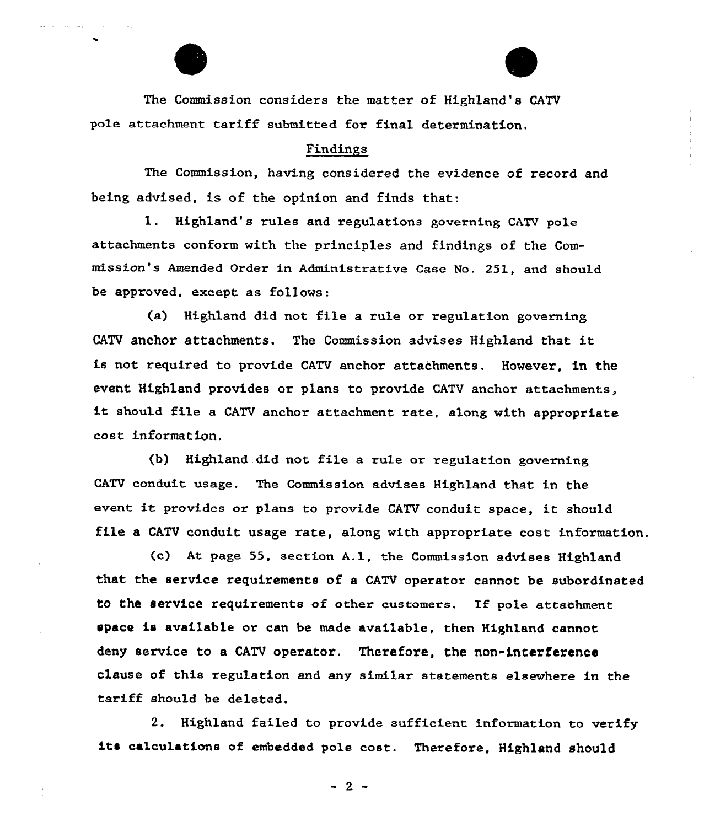The Commission considers the matter of Highland's CATV pole attachment tariff submitted for final determination.

## Findings

The Commission, having considered the evidence of record and being advised, is of the opinion and finds that:

1. Highland's rules and regulations governing CATV pole attachments conform with the principles and findings of the Commission's Amended Order in Administrative Case No. 251, and should be approved, except as follows:

(a) Highland did not file a rule or regulation governing CATV anchor attachments. The Commission advises Highland that it is not required to provide CATV anchor attachments. However, in the event Highland provides or plans to provide CATV anchor attachments, it should file <sup>a</sup> CATV anchor attachment rate, along with appropriate cost information.

(b) Highland did not file a rule or regulation governing CATV conduit usage. The Commission advises Highland that in the event it provides or plans to provide CATV conduit space, it should file a CATV conduit usage rate, along with appropriate cost information.

(c) At page 55, section A.l, the Commission advises Highland that the service requirements of a CATV operator cannot be subordinated to the service requirements of other customers. If pole attachment space is available or can be made available, then Highland cannot deny service to a CATV operator. Therefore, the non-interference clause of this regulation and any similar statements elsewhere in the tariff should be deleted.

2. Highland failed to provide sufficient information to verify its calculations of embedded pole cost. Therefore, Highland should

 $-2-$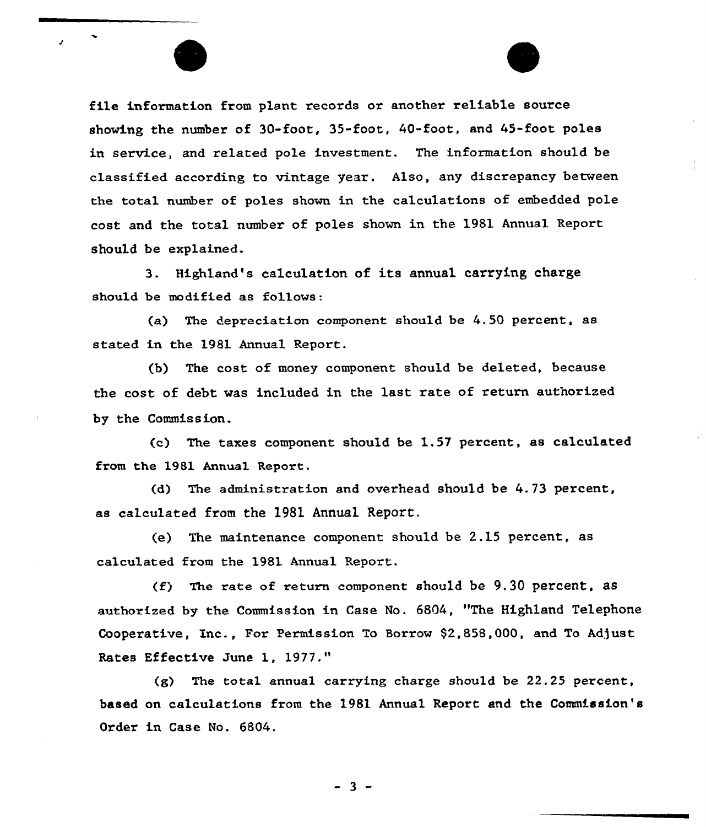file information from plant records or another reliable source showing the number of 30-foot, 35-foot, 40-foot, and 45-foot poles in service, and related pole investment. The information should be classified according to vintage year. Also, any discrepancy between the total number of poles shown in the calculations of embedded pole cost and the total number of poles shown in the 1981 Annual Report. should be explained.

3. Highland's calculation of its annual carrying charge should be modified as fallows:

(a) The depreciation camponent should be 4.50 percent, as stated in the 1981 Annual Report.

(b) The cost of money component should be deleted, because the cost of debt was inc1uded in the last rate of return authorized by the Commission.

(e) The taxes component should be 1.57 percent, as calculated from the 1981 Annual Report.

{d) The administration and overhead should be 4.73 percent, as calculated from the 1981 Annual Report.

(e) The maintenance component should be 2.15 percent, as calculated from the 1981 Annual Report.

 $(f)$  The rate of return component should be 9.30 percent, as authorized by the Commission in Case No. 6804, "The Highland Telephone Cooperative, Inc., For Permission To Borrow \$2,858,000, and To Adjust Rates Effective June 1, 1977."

 $(g)$  The total annual carrying charge should be 22.25 percent, based on calculations from the 1981 Annual Report and the Commission's Order in Case No. 6804.

 $-3 -$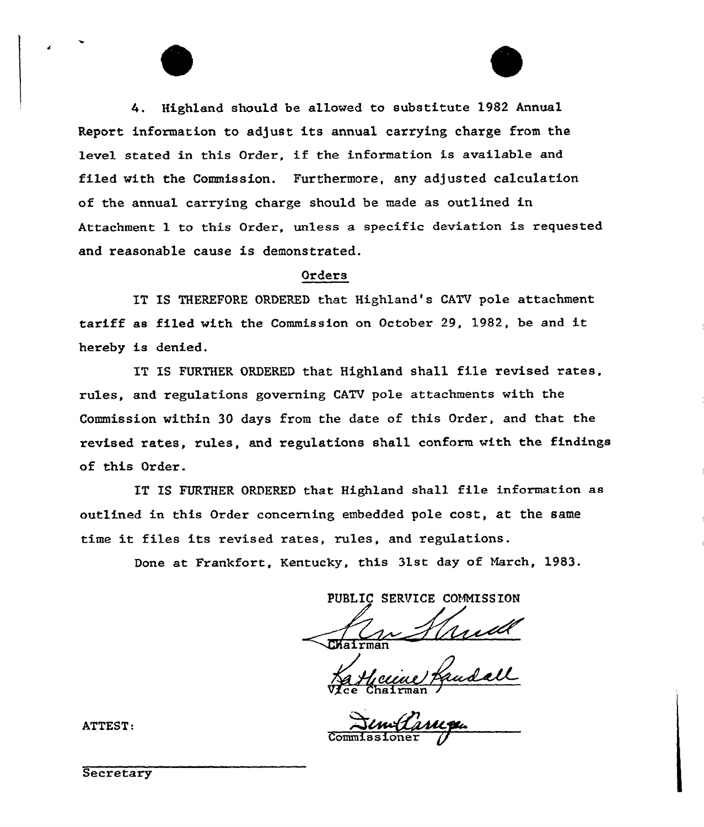4. Highland should be allowed to substitute 1982 Annual Report information to adjust its annual carrying charge from the level stated in this Order, if the information is available and filed with the Commission. Furthermore, any adjusted calculation of the annual carrying charge should be made as outlined in Attachment 1 to this Order, unless a specific deviation is requested and reasonable cause is demonstrated.

# Orders

IT IS THEREFORE ORDERED that Highland's CATV pole attachment tariff as filed with the Commission on Octobex 29, 1982, be and it hereby is denied.

IT IS FURTHER ORDERED that Highland shall file revised rates. rules, and regulations governing CATV pole attachments with the Commission within 30 days from the date of this Ordex, and that the revised rates, rules, and regulations shall conform with the findings of this Order.

IT IS FURTHER ORDERED that Highland shall file information as outlined in this Order concerning embedded pole cost, at the same time it files its revised rates, rules, and regulations.

Done at Frankfort, Kentucky, this 31st day of Narch, 1983.

PUBLIC SERVICE COMMISSION

Vice Chairman

Commissione

ATTEST:

Secretary